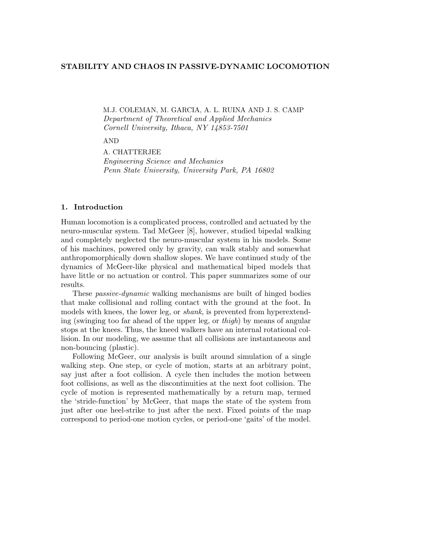# **STABILITY AND CHAOS IN PASSIVE-DYNAMIC LOCOMOTION**

M.J. COLEMAN, M. GARCIA, A. L. RUINA AND J. S. CAMP Department of Theoretical and Applied Mechanics Cornell University, Ithaca, NY 14853-7501

AND

A. CHATTERJEE Engineering Science and Mechanics Penn State University, University Park, PA 16802

# **1. Introduction**

Human locomotion is a complicated process, controlled and actuated by the neuro-muscular system. Tad McGeer [8], however, studied bipedal walking and completely neglected the neuro-muscular system in his models. Some of his machines, powered only by gravity, can walk stably and somewhat anthropomorphically down shallow slopes. We have continued study of the dynamics of McGeer-like physical and mathematical biped models that have little or no actuation or control. This paper summarizes some of our results.

These passive-dynamic walking mechanisms are built of hinged bodies that make collisional and rolling contact with the ground at the foot. In models with knees, the lower leg, or shank, is prevented from hyperextending (swinging too far ahead of the upper leg, or  $thigh$ ) by means of angular stops at the knees. Thus, the kneed walkers have an internal rotational collision. In our modeling, we assume that all collisions are instantaneous and non-bouncing (plastic).

Following McGeer, our analysis is built around simulation of a single walking step. One step, or cycle of motion, starts at an arbitrary point, say just after a foot collision. A cycle then includes the motion between foot collisions, as well as the discontinuities at the next foot collision. The cycle of motion is represented mathematically by a return map, termed the 'stride-function' by McGeer, that maps the state of the system from just after one heel-strike to just after the next. Fixed points of the map correspond to period-one motion cycles, or period-one 'gaits' of the model.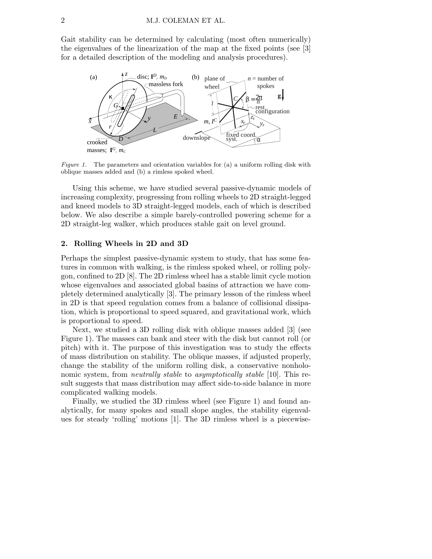Gait stability can be determined by calculating (most often numerically) the eigenvalues of the linearization of the map at the fixed points (see [3] for a detailed description of the modeling and analysis procedures).



*Figure 1.* The parameters and orientation variables for (a) a uniform rolling disk with oblique masses added and (b) a rimless spoked wheel.

Using this scheme, we have studied several passive-dynamic models of increasing complexity, progressing from rolling wheels to 2D straight-legged and kneed models to 3D straight-legged models, each of which is described below. We also describe a simple barely-controlled powering scheme for a 2D straight-leg walker, which produces stable gait on level ground.

# **2. Rolling Wheels in 2D and 3D**

Perhaps the simplest passive-dynamic system to study, that has some features in common with walking, is the rimless spoked wheel, or rolling polygon, confined to 2D [8]. The 2D rimless wheel has a stable limit cycle motion whose eigenvalues and associated global basins of attraction we have completely determined analytically [3]. The primary lesson of the rimless wheel in 2D is that speed regulation comes from a balance of collisional dissipation, which is proportional to speed squared, and gravitational work, which is proportional to speed.

Next, we studied a 3D rolling disk with oblique masses added [3] (see Figure 1). The masses can bank and steer with the disk but cannot roll (or pitch) with it. The purpose of this investigation was to study the effects of mass distribution on stability. The oblique masses, if adjusted properly, change the stability of the uniform rolling disk, a conservative nonholonomic system, from *neutrally stable* to *asymptotically stable* [10]. This result suggests that mass distribution may affect side-to-side balance in more complicated walking models.

Finally, we studied the 3D rimless wheel (see Figure 1) and found analytically, for many spokes and small slope angles, the stability eigenvalues for steady 'rolling' motions [1]. The 3D rimless wheel is a piecewise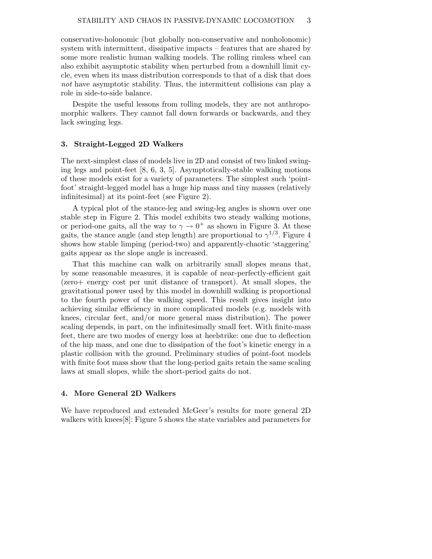conservative-holonomic (but globally non-conservative and nonholonomic) system with intermittent, dissipative impacts – features that are shared by some more realistic human walking models. The rolling rimless wheel can also exhibit asymptotic stability when perturbed from a downhill limit cycle, even when its mass distribution corresponds to that of a disk that does not have asymptotic stability. Thus, the intermittent collisions can play a role in side-to-side balance.

Despite the useful lessons from rolling models, they are not anthropomorphic walkers. They cannot fall down forwards or backwards, and they lack swinging legs.

# **3. Straight-Legged 2D Walkers**

The next-simplest class of models live in 2D and consist of two linked swinging legs and point-feet [8, 6, 3, 5]. Asymptotically-stable walking motions of these models exist for a variety of parameters. The simplest such 'pointfoot' straight-legged model has a huge hip mass and tiny masses (relatively infinitesimal) at its point-feet (see Figure 2).

A typical plot of the stance-leg and swing-leg angles is shown over one stable step in Figure 2. This model exhibits two steady walking motions, or period-one gaits, all the way to  $\gamma \to 0^+$  as shown in Figure 3. At these gaits, the stance angle (and step length) are proportional to  $\gamma^{1/3}$ . Figure 4 shows how stable limping (period-two) and apparently-chaotic 'staggering' gaits appear as the slope angle is increased.

That this machine can walk on arbitrarily small slopes means that, by some reasonable measures, it is capable of near-perfectly-efficient gait (zero+ energy cost per unit distance of transport). At small slopes, the gravitational power used by this model in downhill walking is proportional to the fourth power of the walking speed. This result gives insight into achieving similar efficiency in more complicated models (e.g. models with knees, circular feet, and/or more general mass distribution). The power scaling depends, in part, on the infinitesimally small feet. With finite-mass feet, there are two modes of energy loss at heelstrike: one due to deflection of the hip mass, and one due to dissipation of the foot's kinetic energy in a plastic collision with the ground. Preliminary studies of point-foot models with finite foot mass show that the long-period gaits retain the same scaling laws at small slopes, while the short-period gaits do not.

# **4. More General 2D Walkers**

We have reproduced and extended McGeer's results for more general 2D walkers with knees[8]: Figure 5 shows the state variables and parameters for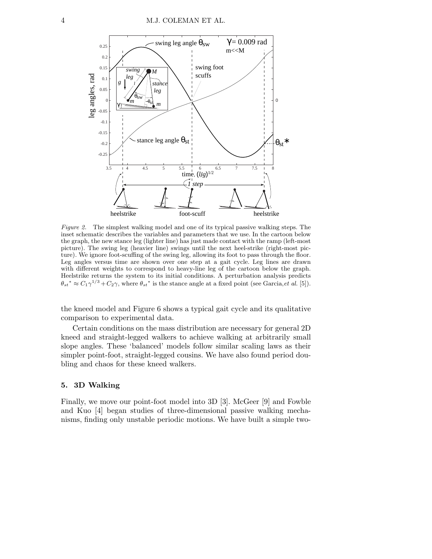

*Figure 2.* The simplest walking model and one of its typical passive walking steps. The inset schematic describes the variables and parameters that we use. In the cartoon below the graph, the new stance leg (lighter line) has just made contact with the ramp (left-most picture). The swing leg (heavier line) swings until the next heel-strike (right-most picture). We ignore foot-scuffing of the swing leg, allowing its foot to pass through the floor. Leg angles versus time are shown over one step at a gait cycle. Leg lines are drawn with different weights to correspond to heavy-line leg of the cartoon below the graph. Heelstrike returns the system to its initial conditions. A perturbation analysis predicts  $\theta_{st}^* \approx C_1 \gamma^{1/3} + C_2 \gamma$ , where  $\theta_{st}^*$  is the stance angle at a fixed point (see Garcia, *et al.* [5]).

the kneed model and Figure 6 shows a typical gait cycle and its qualitative comparison to experimental data.

Certain conditions on the mass distribution are necessary for general 2D kneed and straight-legged walkers to achieve walking at arbitrarily small slope angles. These 'balanced' models follow similar scaling laws as their simpler point-foot, straight-legged cousins. We have also found period doubling and chaos for these kneed walkers.

### **5. 3D Walking**

Finally, we move our point-foot model into 3D [3]. McGeer [9] and Fowble and Kuo [4] began studies of three-dimensional passive walking mechanisms, finding only unstable periodic motions. We have built a simple two-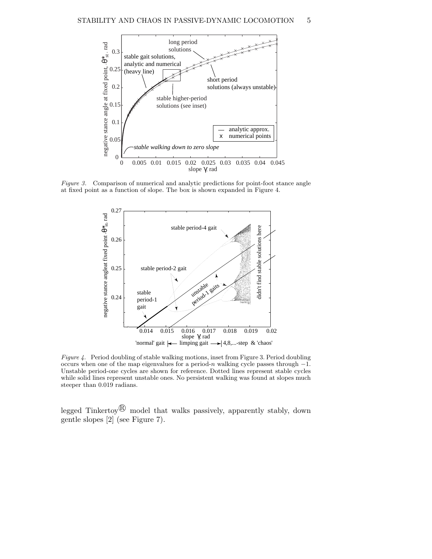

*Figure 3.* Comparison of numerical and analytic predictions for point-foot stance angle at fixed point as a function of slope. The box is shown expanded in Figure 4.



*Figure 4.* Period doubling of stable walking motions, inset from Figure 3. Period doubling occurs when one of the map eigenvalues for a period-n walking cycle passes through −1. Unstable period-one cycles are shown for reference. Dotted lines represent stable cycles while solid lines represent unstable ones. No persistent walking was found at slopes much steeper than 0.019 radians.

legged Tinkertoy<sup> $\circledR$ </sup> model that walks passively, apparently stably, down gentle slopes [2] (see Figure 7).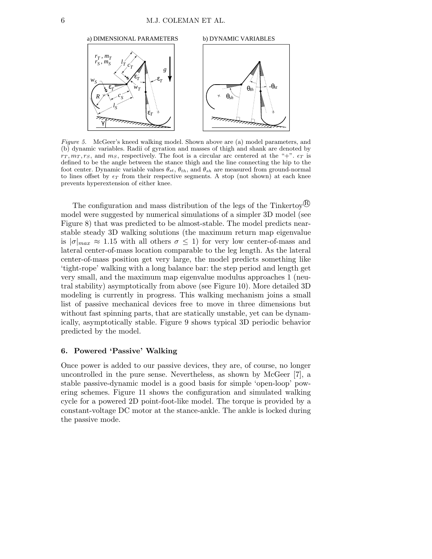

*Figure 5.* McGeer's kneed walking model. Shown above are (a) model parameters, and (b) dynamic variables. Radii of gyration and masses of thigh and shank are denoted by  $r_T, m_T, r_S$ , and  $m_S$ , respectively. The foot is a circular arc centered at the "+".  $\epsilon_T$  is defined to be the angle between the stance thigh and the line connecting the hip to the foot center. Dynamic variable values  $\theta_{st}$ ,  $\theta_{th}$ , and  $\theta_{sh}$  are measured from ground-normal to lines offset by  $\epsilon_T$  from their respective segments. A stop (not shown) at each knee prevents hyperextension of either knee.

The configuration and mass distribution of the legs of the Tinkertoy<sup> $\circ$ </sup> model were suggested by numerical simulations of a simpler 3D model (see Figure 8) that was predicted to be almost-stable. The model predicts nearstable steady 3D walking solutions (the maximum return map eigenvalue is  $|\sigma|_{max} \approx 1.15$  with all others  $\sigma \leq 1$ ) for very low center-of-mass and lateral center-of-mass location comparable to the leg length. As the lateral center-of-mass position get very large, the model predicts something like 'tight-rope' walking with a long balance bar: the step period and length get very small, and the maximum map eigenvalue modulus approaches 1 (neutral stability) asymptotically from above (see Figure 10). More detailed 3D modeling is currently in progress. This walking mechanism joins a small list of passive mechanical devices free to move in three dimensions but without fast spinning parts, that are statically unstable, yet can be dynamically, asymptotically stable. Figure 9 shows typical 3D periodic behavior predicted by the model.

# **6. Powered 'Passive' Walking**

Once power is added to our passive devices, they are, of course, no longer uncontrolled in the pure sense. Nevertheless, as shown by McGeer [7], a stable passive-dynamic model is a good basis for simple 'open-loop' powering schemes. Figure 11 shows the configuration and simulated walking cycle for a powered 2D point-foot-like model. The torque is provided by a constant-voltage DC motor at the stance-ankle. The ankle is locked during the passive mode.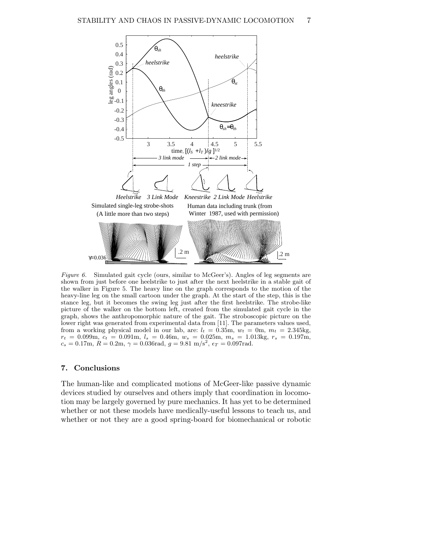

*Figure 6.* Simulated gait cycle (ours, similar to McGeer's). Angles of leg segments are shown from just before one heelstrike to just after the next heelstrike in a stable gait of the walker in Figure 5. The heavy line on the graph corresponds to the motion of the heavy-line leg on the small cartoon under the graph. At the start of the step, this is the stance leg, but it becomes the swing leg just after the first heelstrike. The strobe-like picture of the walker on the bottom left, created from the simulated gait cycle in the graph, shows the anthropomorphic nature of the gait. The stroboscopic picture on the lower right was generated from experimental data from [11]. The parameters values used, from a working physical model in our lab, are:  $l_t = 0.35$ m,  $w_t = 0$ m,  $m_t = 2.345$ kg,  $r_t = 0.099$ m,  $c_t = 0.091$ m,  $l_s = 0.46$ m,  $w_s = 0.025$ m,  $m_s = 1.013$ kg,  $r_s = 0.197$ m,  $c_s = 0.17$ m,  $R = 0.2$ m,  $\gamma = 0.036$ rad,  $g = 9.81$  m/s<sup>2</sup>,  $\epsilon_T = 0.097$ rad.

### **7. Conclusions**

The human-like and complicated motions of McGeer-like passive dynamic devices studied by ourselves and others imply that coordination in locomotion may be largely governed by pure mechanics. It has yet to be determined whether or not these models have medically-useful lessons to teach us, and whether or not they are a good spring-board for biomechanical or robotic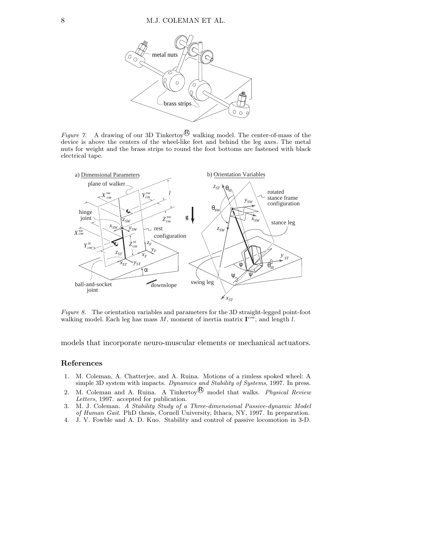

*Figure 7.* A drawing of our 3D Tinkertoy<sup> $\&$ </sup> walking model. The center-of-mass of the device is above the centers of the wheel-like feet and behind the leg axes. The metal nuts for weight and the brass strips to round the foot bottoms are fastened with black electrical tape.



*Figure 8.* The orientation variables and parameters for the 3D straight-legged point-foot walking model. Each leg has mass  $M$ , moment of inertia matrix  $I^{cm}$ , and length l.

models that incorporate neuro-muscular elements or mechanical actuators.

#### **References**

- 1. M. Coleman, A. Chatterjee, and A. Ruina. Motions of a rimless spoked wheel: A simple 3D system with impacts. *Dynamics and Stability of Systems*, 1997. In press.
- 2. M. Coleman and A. Ruina. A Tinkertoy<sup>®</sup> model that walks. *Physical Review Letters*, 1997. accepted for publication.
- 3. M. J. Coleman. *A Stability Study of a Three-dimensional Passive-dynamic Model of Human Gait*. PhD thesis, Cornell University, Ithaca, NY, 1997. In preparation.
- 4. J. V. Fowble and A. D. Kuo. Stability and control of passive locomotion in 3-D.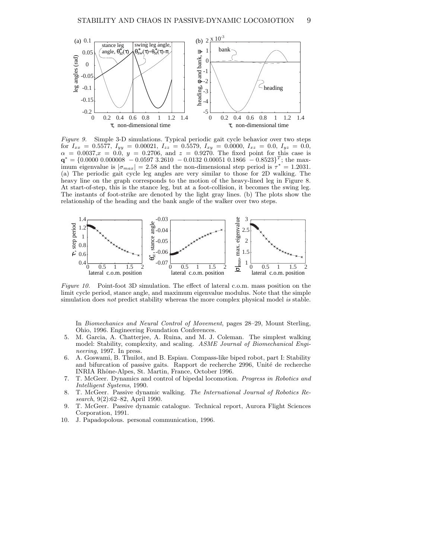

*Figure 9.* Simple 3-D simulations. Typical periodic gait cycle behavior over two steps for  $I_{xx} = 0.5577$ ,  $I_{yy} = 0.00021$ ,  $I_{zz} = 0.5579$ ,  $I_{xy} = 0.0000$ ,  $I_{xz} = 0.0$ ,  $I_{yz} = 0.0$ ,  $\alpha = 0.0037, x = 0.0, y = 0.2706, \text{ and } z = 0.9270.$  The fixed point for this case is  $\mathbf{q}^* = \{0.0000\ 0.000008\ -0.0597\ 3.2610\ -0.0132\ 0.00051\ 0.1866\ -0.8523\}^T$ ; the maximum eigenvalue is  $|\sigma_{max}| = 2.58$  and the non-dimensional step period is  $\tau^* = 1.2031$ . (a) The periodic gait cycle leg angles are very similar to those for 2D walking. The heavy line on the graph corresponds to the motion of the heavy-lined leg in Figure 8. At start-of-step, this is the stance leg, but at a foot-collision, it becomes the swing leg. The instants of foot-strike are denoted by the light gray lines. (b) The plots show the relationship of the heading and the bank angle of the walker over two steps.



*Figure 10.* Point-foot 3D simulation. The effect of lateral c.o.m. mass position on the limit cycle period, stance angle, and maximum eigenvalue modulus. Note that the simple simulation does *not* predict stability whereas the more complex physical model *is* stable.

In *Biomechanics and Neural Control of Movement*, pages 28–29, Mount Sterling, Ohio, 1996. Engineering Foundation Conferences.

- 5. M. Garcia, A. Chatterjee, A. Ruina, and M. J. Coleman. The simplest walking model: Stability, complexity, and scaling. *ASME Journal of Biomechanical Engineering*, 1997. In press.
- 6. A. Goswami, B. Thuilot, and B. Espiau. Compass-like biped robot, part I: Stability and bifurcation of passive gaits. Rapport de recherche 2996, Unité de recherche INRIA Rhˆone-Alpes, St. Martin, France, October 1996.
- 7. T. McGeer. Dynamics and control of bipedal locomotion. *Progress in Robotics and Intelligent Systems*, 1990.
- 8. T. McGeer. Passive dynamic walking. *The International Journal of Robotics Research*, 9(2):62–82, April 1990.
- 9. T. McGeer. Passive dynamic catalogue. Technical report, Aurora Flight Sciences Corporation, 1991.
- 10. J. Papadopolous. personal communication, 1996.